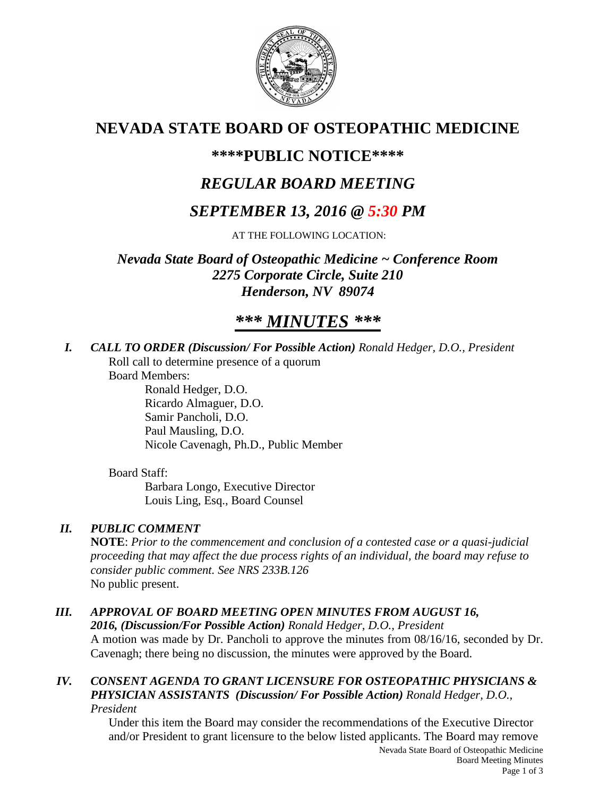

# **NEVADA STATE BOARD OF OSTEOPATHIC MEDICINE**

## **\*\*\*\*PUBLIC NOTICE\*\*\*\***

# *REGULAR BOARD MEETING*

# *SEPTEMBER 13, 2016 @ 5:30 PM*

AT THE FOLLOWING LOCATION:

*Nevada State Board of Osteopathic Medicine ~ Conference Room 2275 Corporate Circle, Suite 210 Henderson, NV 89074*

# *\*\*\* MINUTES \*\*\**

*I. CALL TO ORDER (Discussion/ For Possible Action) Ronald Hedger, D.O., President* Roll call to determine presence of a quorum

Board Members:

Ronald Hedger, D.O. Ricardo Almaguer, D.O. Samir Pancholi, D.O. Paul Mausling, D.O. Nicole Cavenagh, Ph.D., Public Member

## Board Staff:

Barbara Longo, Executive Director Louis Ling, Esq., Board Counsel

## *II. PUBLIC COMMENT*

**NOTE**: *Prior to the commencement and conclusion of a contested case or a quasi-judicial proceeding that may affect the due process rights of an individual, the board may refuse to consider public comment. See NRS 233B.126* No public present.

## *III. APPROVAL OF BOARD MEETING OPEN MINUTES FROM AUGUST 16,*

*2016, (Discussion/For Possible Action) Ronald Hedger, D.O., President* A motion was made by Dr. Pancholi to approve the minutes from 08/16/16, seconded by Dr. Cavenagh; there being no discussion, the minutes were approved by the Board.

#### *IV. CONSENT AGENDA TO GRANT LICENSURE FOR OSTEOPATHIC PHYSICIANS & PHYSICIAN ASSISTANTS (Discussion/ For Possible Action) Ronald Hedger, D.O., President*

Under this item the Board may consider the recommendations of the Executive Director and/or President to grant licensure to the below listed applicants. The Board may remove

Nevada State Board of Osteopathic Medicine Board Meeting Minutes Page 1 of 3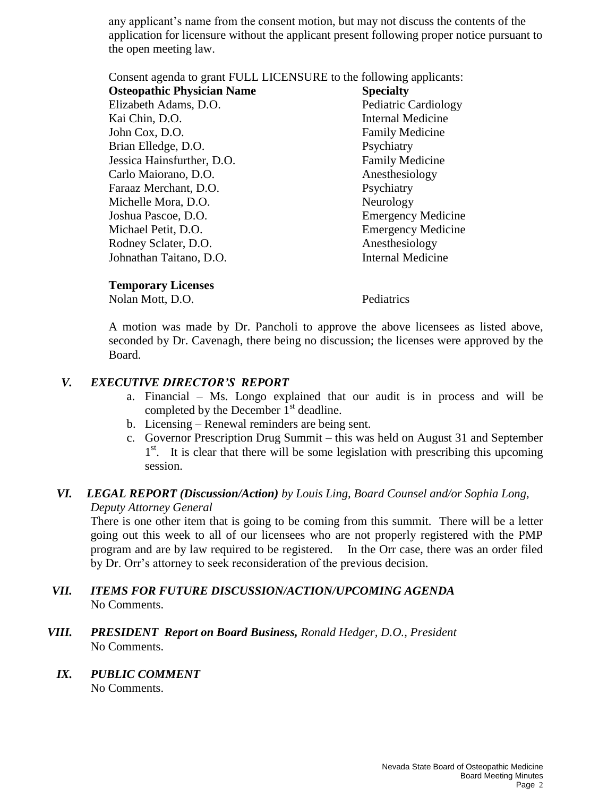any applicant's name from the consent motion, but may not discuss the contents of the application for licensure without the applicant present following proper notice pursuant to the open meeting law.

Consent agenda to grant FULL LICENSURE to the following applicants:

| <b>Osteopathic Physician Name</b> | <b>Specialty</b>            |
|-----------------------------------|-----------------------------|
| Elizabeth Adams, D.O.             | <b>Pediatric Cardiology</b> |
| Kai Chin, D.O.                    | <b>Internal Medicine</b>    |
| John Cox, D.O.                    | <b>Family Medicine</b>      |
| Brian Elledge, D.O.               | Psychiatry                  |
| Jessica Hainsfurther, D.O.        | <b>Family Medicine</b>      |
| Carlo Maiorano, D.O.              | Anesthesiology              |
| Faraaz Merchant, D.O.             | Psychiatry                  |
| Michelle Mora, D.O.               | Neurology                   |
| Joshua Pascoe, D.O.               | <b>Emergency Medicine</b>   |
| Michael Petit, D.O.               | <b>Emergency Medicine</b>   |
| Rodney Sclater, D.O.              | Anesthesiology              |
| Johnathan Taitano, D.O.           | <b>Internal Medicine</b>    |
|                                   |                             |

#### **Temporary Licenses**

Nolan Mott, D.O. Pediatrics

A motion was made by Dr. Pancholi to approve the above licensees as listed above, seconded by Dr. Cavenagh, there being no discussion; the licenses were approved by the Board.

### *V. EXECUTIVE DIRECTOR'S REPORT*

- a. Financial Ms. Longo explained that our audit is in process and will be completed by the December  $1<sup>st</sup>$  deadline.
- b. Licensing Renewal reminders are being sent.
- c. Governor Prescription Drug Summit this was held on August 31 and September 1<sup>st</sup>. It is clear that there will be some legislation with prescribing this upcoming session.

## *VI. LEGAL REPORT (Discussion/Action) by Louis Ling, Board Counsel and/or Sophia Long, Deputy Attorney General*

There is one other item that is going to be coming from this summit. There will be a letter going out this week to all of our licensees who are not properly registered with the PMP program and are by law required to be registered. In the Orr case, there was an order filed by Dr. Orr's attorney to seek reconsideration of the previous decision.

- *VII. ITEMS FOR FUTURE DISCUSSION/ACTION/UPCOMING AGENDA* No Comments.
- *VIII. PRESIDENT Report on Board Business, Ronald Hedger, D.O., President* No Comments.

### *IX. PUBLIC COMMENT*

No Comments.